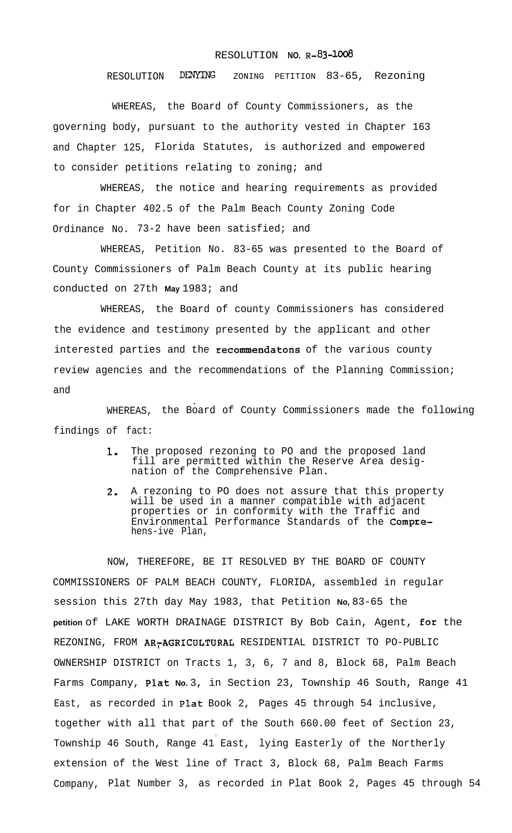## RESOLUTION **NO.** R-83-1008

RESOLUTION DENYING ZONING PETITION 83-65, Rezoning

WHEREAS, the Board of County Commissioners, as the governing body, pursuant to the authority vested in Chapter 163 and Chapter 125, Florida Statutes, is authorized and empowered to consider petitions relating to zoning; and

WHEREAS, the notice and hearing requirements as provided for in Chapter 402.5 of the Palm Beach County Zoning Code Ordinance No. 73-2 have been satisfied; and

WHEREAS, Petition No. 83-65 was presented to the Board of County Commissioners of Palm Beach County at its public hearing conducted on 27th **May** 1983; and

WHEREAS, the Board of county Commissioners has considered the evidence and testimony presented by the applicant and other interested parties and the recommendatons of the various county review agencies and the recommendations of the Planning Commission; and

WHEREAS, the Board of County Commissioners made the following findings of fact:

- 1, The proposed rezoning to PO and the proposed land fill are permitted within the Reserve Area designation of the Comprehensive Plan.
- 2. A rezoning to PO does not assure that this property will be used in a manner compatible with adjacent properties or in conformity with the Traffic and Environmental Performance Standards of the Comprehens-ive Plan,

NOW, THEREFORE, BE IT RESOLVED BY THE BOARD OF COUNTY COMMISSIONERS OF PALM BEACH COUNTY, FLORIDA, assembled in regular session this 27th day May 1983, that Petition **No,** 83-65 the **petition** of LAKE WORTH DRAINAGE DISTRICT By Bob Cain, Agent, for the REZONING, FROM AR<sub>T</sub>AGRICULTURAL RESIDENTIAL DISTRICT TO PO-PUBLIC OWNERSHIP DISTRICT on Tracts 1, 3, 6, 7 and 8, Block 68, Palm Beach Farms Company, Plat **No.** 3, in Section 23, Township 46 South, Range 41 East, as recorded in Plat Book 2, Pages 45 through 54 inclusive, together with all that part of the South 660.00 feet of Section 23, . Township 46 South, Range 41 East, lying Easterly of the Northerly extension of the West line of Tract 3, Block 68, Palm Beach Farms Company, Plat Number 3, as recorded in Plat Book 2, Pages 45 through 54